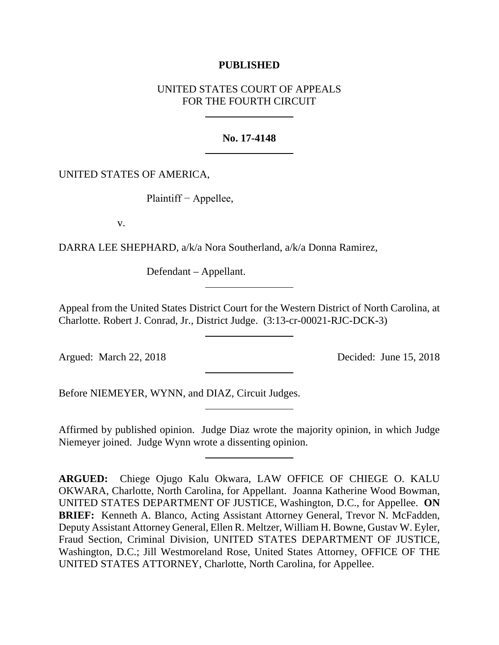# **PUBLISHED**

# UNITED STATES COURT OF APPEALS FOR THE FOURTH CIRCUIT

## **No. 17-4148**

## UNITED STATES OF AMERICA,

Plaintiff − Appellee,

v.

DARRA LEE SHEPHARD, a/k/a Nora Southerland, a/k/a Donna Ramirez,

Defendant – Appellant.

Appeal from the United States District Court for the Western District of North Carolina, at Charlotte. Robert J. Conrad, Jr., District Judge. (3:13-cr-00021-RJC-DCK-3)

Argued: March 22, 2018 Decided: June 15, 2018

Before NIEMEYER, WYNN, and DIAZ, Circuit Judges.

Affirmed by published opinion. Judge Diaz wrote the majority opinion, in which Judge Niemeyer joined. Judge Wynn wrote a dissenting opinion.

**ARGUED:** Chiege Ojugo Kalu Okwara, LAW OFFICE OF CHIEGE O. KALU OKWARA, Charlotte, North Carolina, for Appellant. Joanna Katherine Wood Bowman, UNITED STATES DEPARTMENT OF JUSTICE, Washington, D.C., for Appellee. **ON BRIEF:** Kenneth A. Blanco, Acting Assistant Attorney General, Trevor N. McFadden, Deputy Assistant Attorney General, Ellen R. Meltzer, William H. Bowne, Gustav W. Eyler, Fraud Section, Criminal Division, UNITED STATES DEPARTMENT OF JUSTICE, Washington, D.C.; Jill Westmoreland Rose, United States Attorney, OFFICE OF THE UNITED STATES ATTORNEY, Charlotte, North Carolina, for Appellee.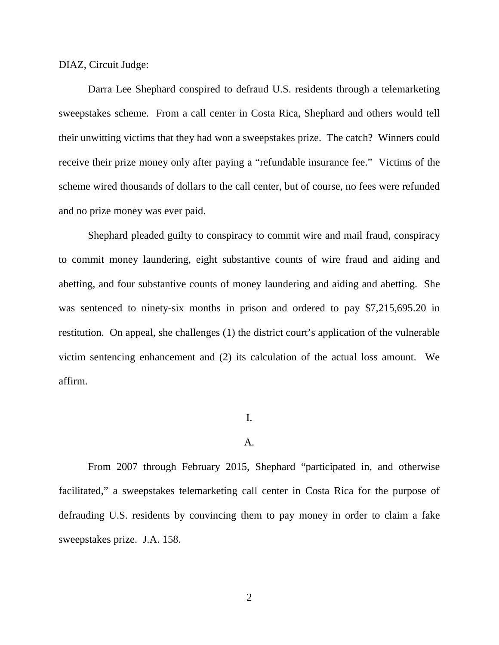DIAZ, Circuit Judge:

Darra Lee Shephard conspired to defraud U.S. residents through a telemarketing sweepstakes scheme. From a call center in Costa Rica, Shephard and others would tell their unwitting victims that they had won a sweepstakes prize. The catch? Winners could receive their prize money only after paying a "refundable insurance fee." Victims of the scheme wired thousands of dollars to the call center, but of course, no fees were refunded and no prize money was ever paid.

Shephard pleaded guilty to conspiracy to commit wire and mail fraud, conspiracy to commit money laundering, eight substantive counts of wire fraud and aiding and abetting, and four substantive counts of money laundering and aiding and abetting. She was sentenced to ninety-six months in prison and ordered to pay \$7,215,695.20 in restitution. On appeal, she challenges (1) the district court's application of the vulnerable victim sentencing enhancement and (2) its calculation of the actual loss amount. We affirm.

# I.

#### A.

From 2007 through February 2015, Shephard "participated in, and otherwise facilitated," a sweepstakes telemarketing call center in Costa Rica for the purpose of defrauding U.S. residents by convincing them to pay money in order to claim a fake sweepstakes prize. J.A. 158.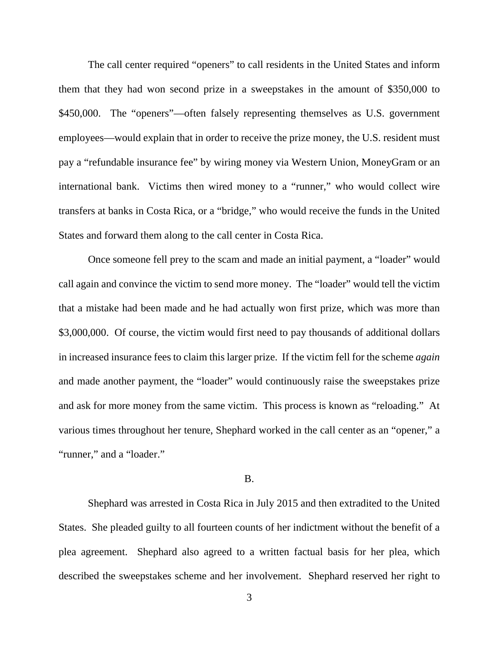The call center required "openers" to call residents in the United States and inform them that they had won second prize in a sweepstakes in the amount of \$350,000 to \$450,000. The "openers"—often falsely representing themselves as U.S. government employees—would explain that in order to receive the prize money, the U.S. resident must pay a "refundable insurance fee" by wiring money via Western Union, MoneyGram or an international bank. Victims then wired money to a "runner," who would collect wire transfers at banks in Costa Rica, or a "bridge," who would receive the funds in the United States and forward them along to the call center in Costa Rica.

Once someone fell prey to the scam and made an initial payment, a "loader" would call again and convince the victim to send more money. The "loader" would tell the victim that a mistake had been made and he had actually won first prize, which was more than \$3,000,000. Of course, the victim would first need to pay thousands of additional dollars in increased insurance fees to claim this larger prize. If the victim fell for the scheme *again* and made another payment, the "loader" would continuously raise the sweepstakes prize and ask for more money from the same victim. This process is known as "reloading." At various times throughout her tenure, Shephard worked in the call center as an "opener," a "runner," and a "loader."

## B.

Shephard was arrested in Costa Rica in July 2015 and then extradited to the United States. She pleaded guilty to all fourteen counts of her indictment without the benefit of a plea agreement. Shephard also agreed to a written factual basis for her plea, which described the sweepstakes scheme and her involvement. Shephard reserved her right to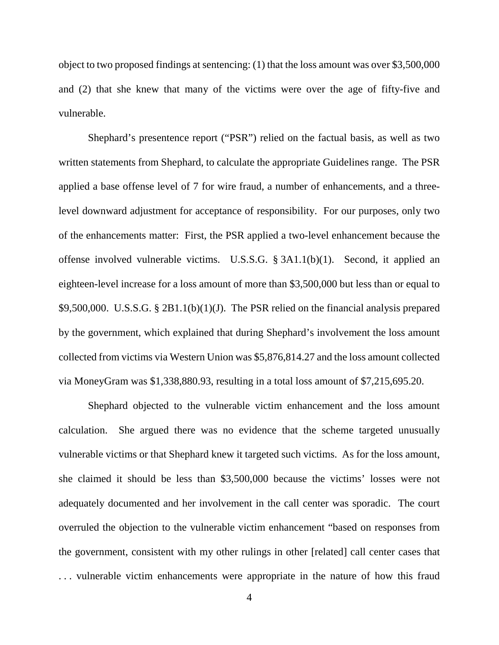object to two proposed findings at sentencing: (1) that the loss amount was over \$3,500,000 and (2) that she knew that many of the victims were over the age of fifty-five and vulnerable.

Shephard's presentence report ("PSR") relied on the factual basis, as well as two written statements from Shephard, to calculate the appropriate Guidelines range. The PSR applied a base offense level of 7 for wire fraud, a number of enhancements, and a threelevel downward adjustment for acceptance of responsibility. For our purposes, only two of the enhancements matter: First, the PSR applied a two-level enhancement because the offense involved vulnerable victims. U.S.S.G. § 3A1.1(b)(1). Second, it applied an eighteen-level increase for a loss amount of more than \$3,500,000 but less than or equal to \$9,500,000. U.S.S.G. § 2B1.1(b)(1)(J). The PSR relied on the financial analysis prepared by the government, which explained that during Shephard's involvement the loss amount collected from victims via Western Union was \$5,876,814.27 and the loss amount collected via MoneyGram was \$1,338,880.93, resulting in a total loss amount of \$7,215,695.20.

Shephard objected to the vulnerable victim enhancement and the loss amount calculation. She argued there was no evidence that the scheme targeted unusually vulnerable victims or that Shephard knew it targeted such victims. As for the loss amount, she claimed it should be less than \$3,500,000 because the victims' losses were not adequately documented and her involvement in the call center was sporadic. The court overruled the objection to the vulnerable victim enhancement "based on responses from the government, consistent with my other rulings in other [related] call center cases that . . . vulnerable victim enhancements were appropriate in the nature of how this fraud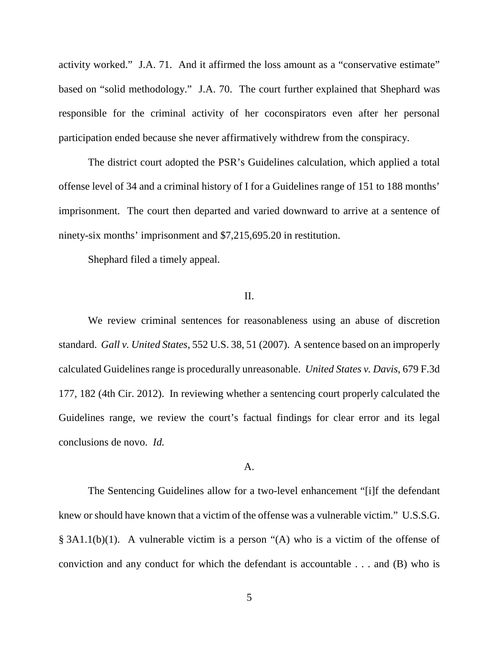activity worked." J.A. 71. And it affirmed the loss amount as a "conservative estimate" based on "solid methodology." J.A. 70. The court further explained that Shephard was responsible for the criminal activity of her coconspirators even after her personal participation ended because she never affirmatively withdrew from the conspiracy.

The district court adopted the PSR's Guidelines calculation, which applied a total offense level of 34 and a criminal history of I for a Guidelines range of 151 to 188 months' imprisonment. The court then departed and varied downward to arrive at a sentence of ninety-six months' imprisonment and \$7,215,695.20 in restitution.

Shephard filed a timely appeal.

## II.

We review criminal sentences for reasonableness using an abuse of discretion standard. *Gall v. United States*, 552 U.S. 38, 51 (2007). A sentence based on an improperly calculated Guidelines range is procedurally unreasonable. *United States v. Davis*, 679 F.3d 177, 182 (4th Cir. 2012). In reviewing whether a sentencing court properly calculated the Guidelines range, we review the court's factual findings for clear error and its legal conclusions de novo. *Id.* 

#### A.

The Sentencing Guidelines allow for a two-level enhancement "[i]f the defendant knew or should have known that a victim of the offense was a vulnerable victim." U.S.S.G. § 3A1.1(b)(1). A vulnerable victim is a person "(A) who is a victim of the offense of conviction and any conduct for which the defendant is accountable . . . and (B) who is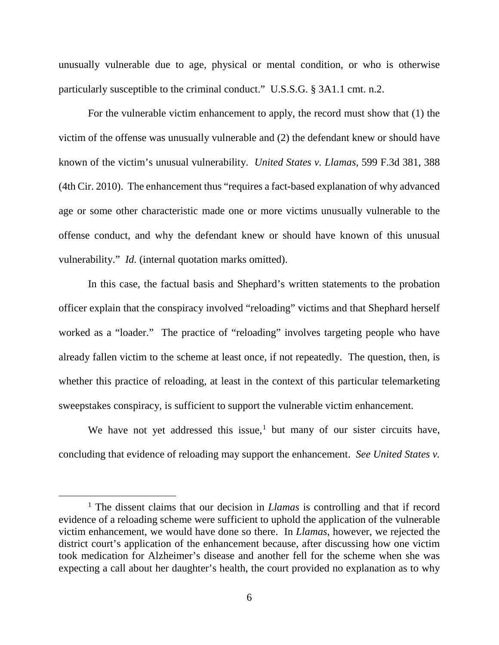unusually vulnerable due to age, physical or mental condition, or who is otherwise particularly susceptible to the criminal conduct." U.S.S.G. § 3A1.1 cmt. n.2.

For the vulnerable victim enhancement to apply, the record must show that (1) the victim of the offense was unusually vulnerable and (2) the defendant knew or should have known of the victim's unusual vulnerability. *United States v. Llamas*, 599 F.3d 381, 388 (4th Cir. 2010). The enhancement thus "requires a fact-based explanation of why advanced age or some other characteristic made one or more victims unusually vulnerable to the offense conduct, and why the defendant knew or should have known of this unusual vulnerability." *Id.* (internal quotation marks omitted).

In this case, the factual basis and Shephard's written statements to the probation officer explain that the conspiracy involved "reloading" victims and that Shephard herself worked as a "loader." The practice of "reloading" involves targeting people who have already fallen victim to the scheme at least once, if not repeatedly. The question, then, is whether this practice of reloading, at least in the context of this particular telemarketing sweepstakes conspiracy, is sufficient to support the vulnerable victim enhancement.

We have not yet addressed this issue,<sup>[1](#page-5-0)</sup> but many of our sister circuits have, concluding that evidence of reloading may support the enhancement. *See United States v.* 

<span id="page-5-0"></span><sup>&</sup>lt;sup>1</sup> The dissent claims that our decision in *Llamas* is controlling and that if record evidence of a reloading scheme were sufficient to uphold the application of the vulnerable victim enhancement, we would have done so there. In *Llamas*, however, we rejected the district court's application of the enhancement because, after discussing how one victim took medication for Alzheimer's disease and another fell for the scheme when she was expecting a call about her daughter's health, the court provided no explanation as to why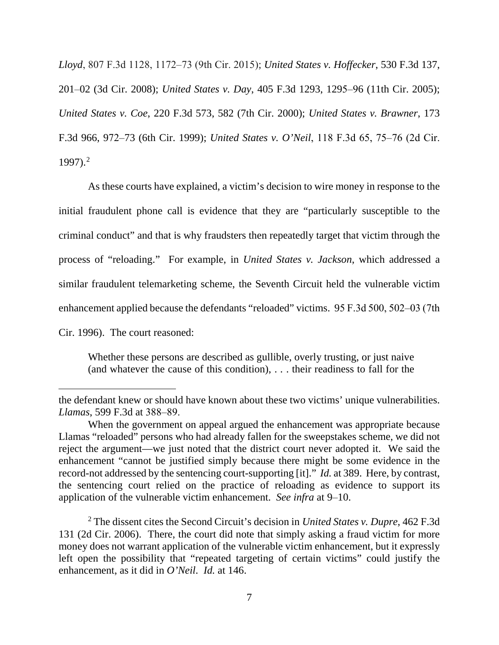*Lloyd*, 807 F.3d 1128, 1172‒73 (9th Cir. 2015); *United States v. Hoffecker*, 530 F.3d 137, 201‒02 (3d Cir. 2008); *United States v. Day*, 405 F.3d 1293, 1295‒96 (11th Cir. 2005); *United States v. Coe*, 220 F.3d 573, 582 (7th Cir. 2000); *United States v. Brawner*, 173 F.3d 966, 972–73 (6th Cir. 1999); *United States v. O'Neil*, 118 F.3d 65, 75–76 (2d Cir.  $1997$ ).<sup>[2](#page-6-0)</sup>

As these courts have explained, a victim's decision to wire money in response to the initial fraudulent phone call is evidence that they are "particularly susceptible to the criminal conduct" and that is why fraudsters then repeatedly target that victim through the process of "reloading." For example, in *United States v. Jackson*, which addressed a similar fraudulent telemarketing scheme, the Seventh Circuit held the vulnerable victim enhancement applied because the defendants "reloaded" victims. 95 F.3d 500, 502–03 (7th Cir. 1996). The court reasoned:

Whether these persons are described as gullible, overly trusting, or just naive (and whatever the cause of this condition), . . . their readiness to fall for the

 $\overline{a}$ 

the defendant knew or should have known about these two victims' unique vulnerabilities. *Llamas*, 599 F.3d at 388‒89.

When the government on appeal argued the enhancement was appropriate because Llamas "reloaded" persons who had already fallen for the sweepstakes scheme, we did not reject the argument—we just noted that the district court never adopted it. We said the enhancement "cannot be justified simply because there might be some evidence in the record-not addressed by the sentencing court-supporting [it]." *Id.* at 389. Here, by contrast, the sentencing court relied on the practice of reloading as evidence to support its application of the vulnerable victim enhancement. *See infra* at 9–10.

<span id="page-6-0"></span><sup>2</sup> The dissent cites the Second Circuit's decision in *United States v. Dupre*, 462 F.3d 131 (2d Cir. 2006). There, the court did note that simply asking a fraud victim for more money does not warrant application of the vulnerable victim enhancement, but it expressly left open the possibility that "repeated targeting of certain victims" could justify the enhancement, as it did in *O'Neil*. *Id.* at 146.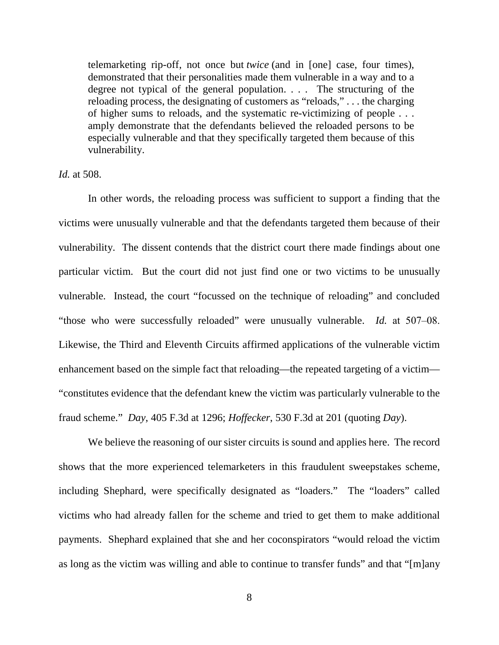telemarketing rip-off, not once but *twice* (and in [one] case, four times), demonstrated that their personalities made them vulnerable in a way and to a degree not typical of the general population. . . . The structuring of the reloading process, the designating of customers as "reloads," . . . the charging of higher sums to reloads, and the systematic re-victimizing of people . . . amply demonstrate that the defendants believed the reloaded persons to be especially vulnerable and that they specifically targeted them because of this vulnerability.

*Id.* at 508.

In other words, the reloading process was sufficient to support a finding that the victims were unusually vulnerable and that the defendants targeted them because of their vulnerability. The dissent contends that the district court there made findings about one particular victim. But the court did not just find one or two victims to be unusually vulnerable. Instead, the court "focussed on the technique of reloading" and concluded "those who were successfully reloaded" were unusually vulnerable. *Id.* at 507–08. Likewise, the Third and Eleventh Circuits affirmed applications of the vulnerable victim enhancement based on the simple fact that reloading—the repeated targeting of a victim— "constitutes evidence that the defendant knew the victim was particularly vulnerable to the fraud scheme." *Day*, 405 F.3d at 1296; *Hoffecker*, 530 F.3d at 201 (quoting *Day*).

We believe the reasoning of our sister circuits is sound and applies here. The record shows that the more experienced telemarketers in this fraudulent sweepstakes scheme, including Shephard, were specifically designated as "loaders." The "loaders" called victims who had already fallen for the scheme and tried to get them to make additional payments. Shephard explained that she and her coconspirators "would reload the victim as long as the victim was willing and able to continue to transfer funds" and that "[m]any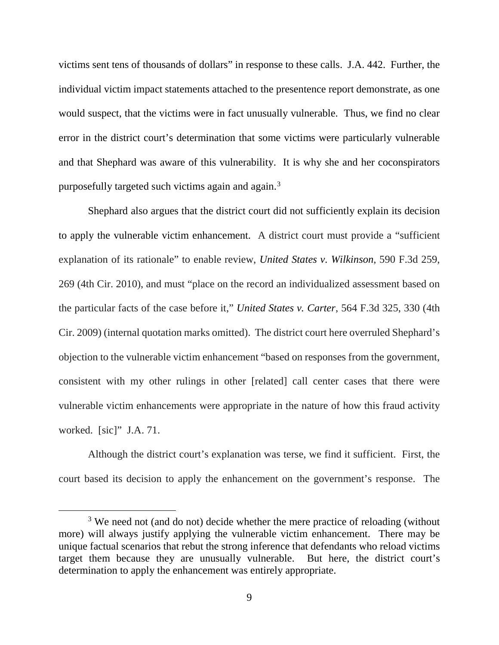victims sent tens of thousands of dollars" in response to these calls. J.A. 442. Further, the individual victim impact statements attached to the presentence report demonstrate, as one would suspect, that the victims were in fact unusually vulnerable. Thus, we find no clear error in the district court's determination that some victims were particularly vulnerable and that Shephard was aware of this vulnerability. It is why she and her coconspirators purposefully targeted such victims again and again.[3](#page-8-0)

Shephard also argues that the district court did not sufficiently explain its decision to apply the vulnerable victim enhancement. A district court must provide a "sufficient explanation of its rationale" to enable review, *United States v. Wilkinson*, 590 F.3d 259, 269 (4th Cir. 2010), and must "place on the record an individualized assessment based on the particular facts of the case before it," *United States v. Carter*, 564 F.3d 325, 330 (4th Cir. 2009) (internal quotation marks omitted). The district court here overruled Shephard's objection to the vulnerable victim enhancement "based on responses from the government, consistent with my other rulings in other [related] call center cases that there were vulnerable victim enhancements were appropriate in the nature of how this fraud activity worked. [sic]" J.A. 71.

Although the district court's explanation was terse, we find it sufficient. First, the court based its decision to apply the enhancement on the government's response. The

<span id="page-8-0"></span><sup>&</sup>lt;sup>3</sup> We need not (and do not) decide whether the mere practice of reloading (without more) will always justify applying the vulnerable victim enhancement. There may be unique factual scenarios that rebut the strong inference that defendants who reload victims target them because they are unusually vulnerable. But here, the district court's determination to apply the enhancement was entirely appropriate.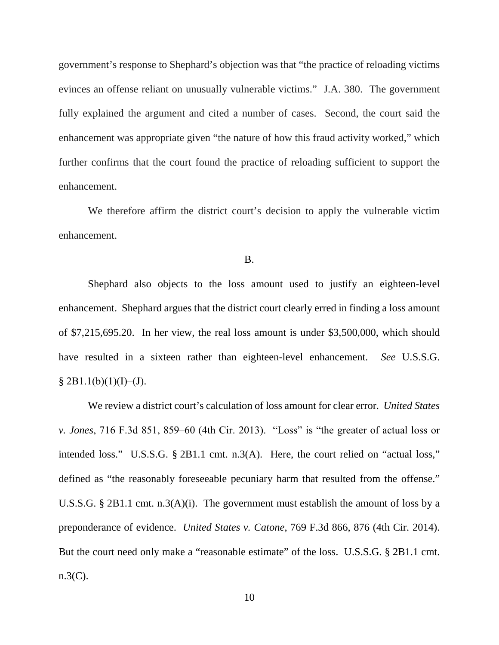government's response to Shephard's objection was that "the practice of reloading victims evinces an offense reliant on unusually vulnerable victims." J.A. 380. The government fully explained the argument and cited a number of cases. Second, the court said the enhancement was appropriate given "the nature of how this fraud activity worked," which further confirms that the court found the practice of reloading sufficient to support the enhancement.

We therefore affirm the district court's decision to apply the vulnerable victim enhancement.

#### B.

Shephard also objects to the loss amount used to justify an eighteen-level enhancement. Shephard argues that the district court clearly erred in finding a loss amount of \$7,215,695.20. In her view, the real loss amount is under \$3,500,000, which should have resulted in a sixteen rather than eighteen-level enhancement. *See* U.S.S.G.  $§$  2B1.1(b)(1)(I)–(J).

We review a district court's calculation of loss amount for clear error. *United States v. Jones*, 716 F.3d 851, 859‒60 (4th Cir. 2013). "Loss" is "the greater of actual loss or intended loss." U.S.S.G. § 2B1.1 cmt. n.3(A). Here, the court relied on "actual loss," defined as "the reasonably foreseeable pecuniary harm that resulted from the offense." U.S.S.G. § 2B1.1 cmt. n.3(A)(i). The government must establish the amount of loss by a preponderance of evidence. *United States v. Catone*, 769 F.3d 866, 876 (4th Cir. 2014). But the court need only make a "reasonable estimate" of the loss. U.S.S.G. § 2B1.1 cmt.  $n.3(C)$ .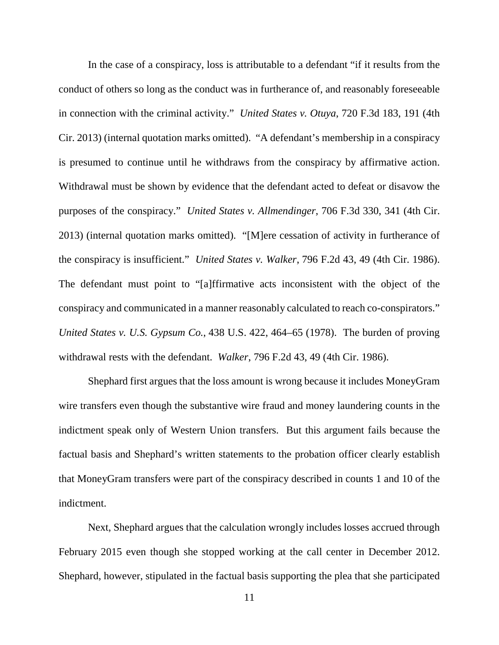In the case of a conspiracy, loss is attributable to a defendant "if it results from the conduct of others so long as the conduct was in furtherance of, and reasonably foreseeable in connection with the criminal activity." *United States v. Otuya*, 720 F.3d 183, 191 (4th Cir. 2013) (internal quotation marks omitted). "A defendant's membership in a conspiracy is presumed to continue until he withdraws from the conspiracy by affirmative action. Withdrawal must be shown by evidence that the defendant acted to defeat or disavow the purposes of the conspiracy." *United States v. Allmendinger*, 706 F.3d 330, 341 (4th Cir. 2013) (internal quotation marks omitted). "[M]ere cessation of activity in furtherance of the conspiracy is insufficient." *United States v. Walker*, 796 F.2d 43, 49 (4th Cir. 1986). The defendant must point to "[a]ffirmative acts inconsistent with the object of the conspiracy and communicated in a manner reasonably calculated to reach co-conspirators." *United States v. U.S. Gypsum Co.*, 438 U.S. 422, 464–65 (1978). The burden of proving withdrawal rests with the defendant. *Walker*, 796 F.2d 43, 49 (4th Cir. 1986).

Shephard first argues that the loss amount is wrong because it includes MoneyGram wire transfers even though the substantive wire fraud and money laundering counts in the indictment speak only of Western Union transfers. But this argument fails because the factual basis and Shephard's written statements to the probation officer clearly establish that MoneyGram transfers were part of the conspiracy described in counts 1 and 10 of the indictment.

Next, Shephard argues that the calculation wrongly includes losses accrued through February 2015 even though she stopped working at the call center in December 2012. Shephard, however, stipulated in the factual basis supporting the plea that she participated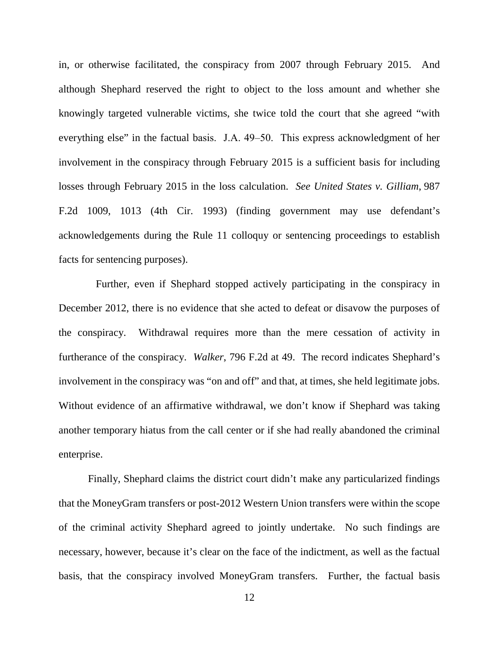in, or otherwise facilitated, the conspiracy from 2007 through February 2015. And although Shephard reserved the right to object to the loss amount and whether she knowingly targeted vulnerable victims, she twice told the court that she agreed "with everything else" in the factual basis. J.A. 49–50. This express acknowledgment of her involvement in the conspiracy through February 2015 is a sufficient basis for including losses through February 2015 in the loss calculation. *See United States v. Gilliam*, 987 F.2d 1009, 1013 (4th Cir. 1993) (finding government may use defendant's acknowledgements during the Rule 11 colloquy or sentencing proceedings to establish facts for sentencing purposes).

 Further, even if Shephard stopped actively participating in the conspiracy in December 2012, there is no evidence that she acted to defeat or disavow the purposes of the conspiracy. Withdrawal requires more than the mere cessation of activity in furtherance of the conspiracy. *Walker*, 796 F.2d at 49.The record indicates Shephard's involvement in the conspiracy was "on and off" and that, at times, she held legitimate jobs. Without evidence of an affirmative withdrawal, we don't know if Shephard was taking another temporary hiatus from the call center or if she had really abandoned the criminal enterprise.

Finally, Shephard claims the district court didn't make any particularized findings that the MoneyGram transfers or post-2012 Western Union transfers were within the scope of the criminal activity Shephard agreed to jointly undertake. No such findings are necessary, however, because it's clear on the face of the indictment, as well as the factual basis, that the conspiracy involved MoneyGram transfers. Further, the factual basis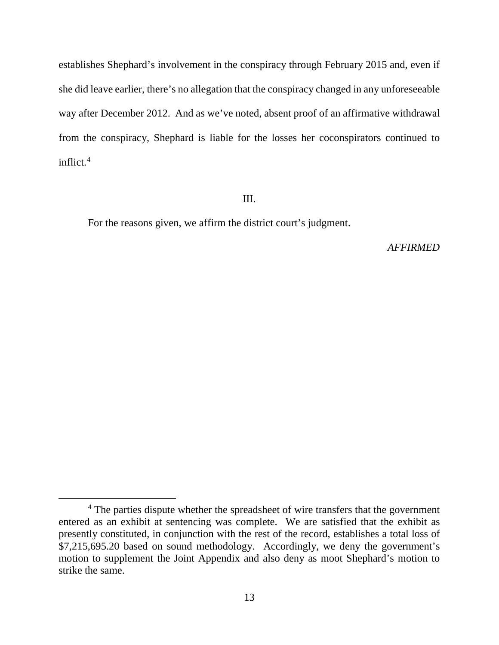establishes Shephard's involvement in the conspiracy through February 2015 and, even if she did leave earlier, there's no allegation that the conspiracy changed in any unforeseeable way after December 2012. And as we've noted, absent proof of an affirmative withdrawal from the conspiracy, Shephard is liable for the losses her coconspirators continued to inflict.<sup>[4](#page-12-0)</sup>

## III.

For the reasons given, we affirm the district court's judgment.

## *AFFIRMED*

<span id="page-12-0"></span><sup>&</sup>lt;sup>4</sup> The parties dispute whether the spreadsheet of wire transfers that the government entered as an exhibit at sentencing was complete. We are satisfied that the exhibit as presently constituted, in conjunction with the rest of the record, establishes a total loss of \$7,215,695.20 based on sound methodology. Accordingly, we deny the government's motion to supplement the Joint Appendix and also deny as moot Shephard's motion to strike the same.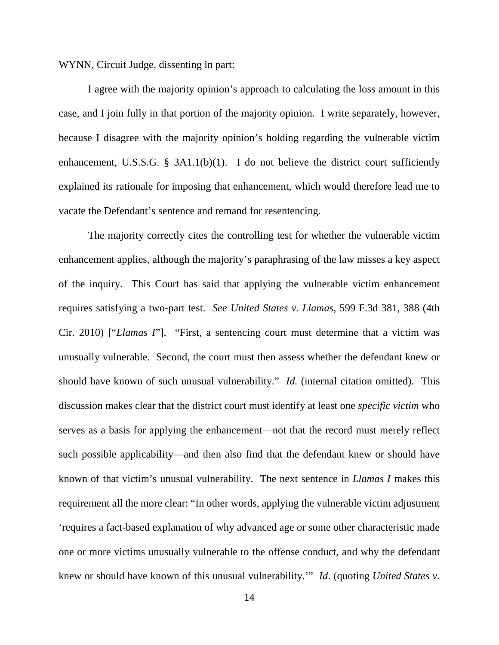WYNN, Circuit Judge, dissenting in part:

I agree with the majority opinion's approach to calculating the loss amount in this case, and I join fully in that portion of the majority opinion. I write separately, however, because I disagree with the majority opinion's holding regarding the vulnerable victim enhancement, U.S.S.G. §  $3A1.1(b)(1)$ . I do not believe the district court sufficiently explained its rationale for imposing that enhancement, which would therefore lead me to vacate the Defendant's sentence and remand for resentencing.

The majority correctly cites the controlling test for whether the vulnerable victim enhancement applies, although the majority's paraphrasing of the law misses a key aspect of the inquiry. This Court has said that applying the vulnerable victim enhancement requires satisfying a two-part test. *See United States v. Llamas*, 599 F.3d 381, 388 (4th Cir. 2010) ["*Llamas I*"]. "First, a sentencing court must determine that a victim was unusually vulnerable. Second, the court must then assess whether the defendant knew or should have known of such unusual vulnerability." *Id.* (internal citation omitted). This discussion makes clear that the district court must identify at least one *specific victim* who serves as a basis for applying the enhancement—not that the record must merely reflect such possible applicability—and then also find that the defendant knew or should have known of that victim's unusual vulnerability. The next sentence in *Llamas I* makes this requirement all the more clear: "In other words, applying the vulnerable victim adjustment 'requires a fact-based explanation of why advanced age or some other characteristic made one or more victims unusually vulnerable to the offense conduct, and why the defendant knew or should have known of this unusual vulnerability.'" *Id*. (quoting *United States v.*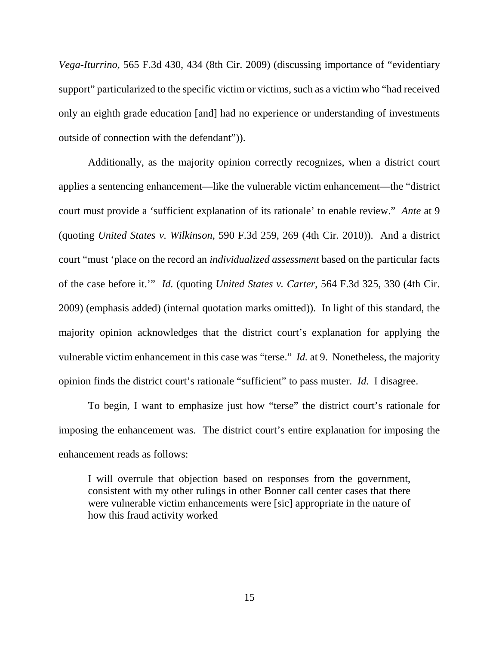*Vega-Iturrino*, 565 F.3d 430, 434 (8th Cir. 2009) (discussing importance of "evidentiary support" particularized to the specific victim or victims, such as a victim who "had received only an eighth grade education [and] had no experience or understanding of investments outside of connection with the defendant")).

Additionally, as the majority opinion correctly recognizes, when a district court applies a sentencing enhancement—like the vulnerable victim enhancement—the "district court must provide a 'sufficient explanation of its rationale' to enable review." *Ante* at 9 (quoting *United States v. Wilkinson*, 590 F.3d 259, 269 (4th Cir. 2010)). And a district court "must 'place on the record an *individualized assessment* based on the particular facts of the case before it.'" *Id.* (quoting *United States v. Carter*, 564 F.3d 325, 330 (4th Cir. 2009) (emphasis added) (internal quotation marks omitted)). In light of this standard, the majority opinion acknowledges that the district court's explanation for applying the vulnerable victim enhancement in this case was "terse." *Id.* at 9. Nonetheless, the majority opinion finds the district court's rationale "sufficient" to pass muster. *Id.* I disagree.

To begin, I want to emphasize just how "terse" the district court's rationale for imposing the enhancement was. The district court's entire explanation for imposing the enhancement reads as follows:

I will overrule that objection based on responses from the government, consistent with my other rulings in other Bonner call center cases that there were vulnerable victim enhancements were [sic] appropriate in the nature of how this fraud activity worked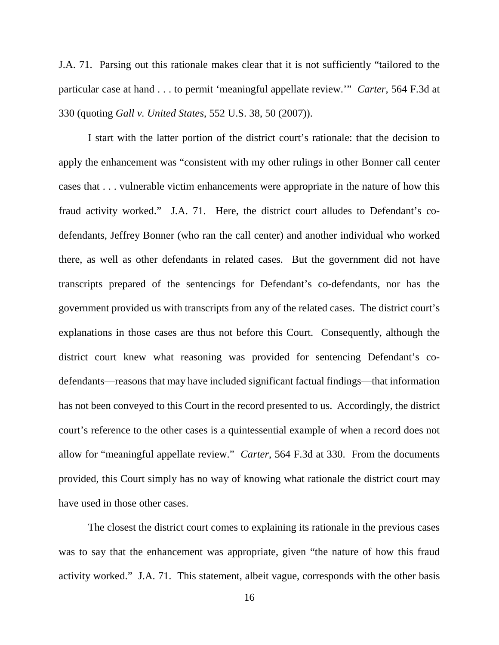J.A. 71. Parsing out this rationale makes clear that it is not sufficiently "tailored to the particular case at hand . . . to permit 'meaningful appellate review.'" *Carter*, 564 F.3d at 330 (quoting *Gall v. United States*, 552 U.S. 38, 50 (2007)).

I start with the latter portion of the district court's rationale: that the decision to apply the enhancement was "consistent with my other rulings in other Bonner call center cases that . . . vulnerable victim enhancements were appropriate in the nature of how this fraud activity worked." J.A. 71. Here, the district court alludes to Defendant's codefendants, Jeffrey Bonner (who ran the call center) and another individual who worked there, as well as other defendants in related cases. But the government did not have transcripts prepared of the sentencings for Defendant's co-defendants, nor has the government provided us with transcripts from any of the related cases. The district court's explanations in those cases are thus not before this Court. Consequently, although the district court knew what reasoning was provided for sentencing Defendant's codefendants—reasons that may have included significant factual findings—that information has not been conveyed to this Court in the record presented to us. Accordingly, the district court's reference to the other cases is a quintessential example of when a record does not allow for "meaningful appellate review." *Carter*, 564 F.3d at 330. From the documents provided, this Court simply has no way of knowing what rationale the district court may have used in those other cases.

The closest the district court comes to explaining its rationale in the previous cases was to say that the enhancement was appropriate, given "the nature of how this fraud activity worked." J.A. 71. This statement, albeit vague, corresponds with the other basis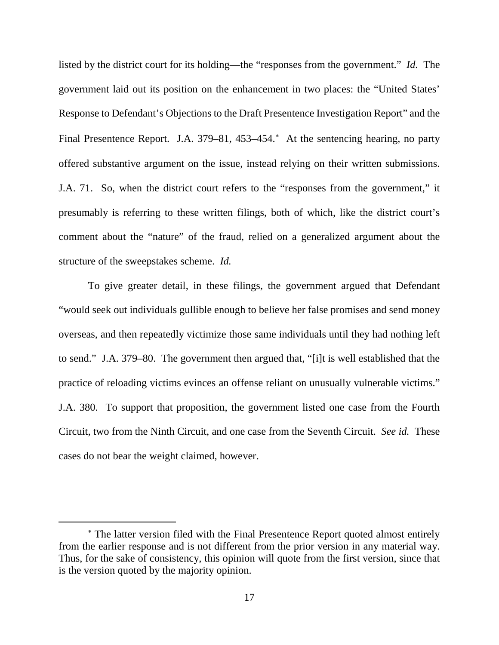listed by the district court for its holding—the "responses from the government." *Id.* The government laid out its position on the enhancement in two places: the "United States' Response to Defendant's Objections to the Draft Presentence Investigation Report" and the Final Presentence Report. J.A. 379–81, 453–454.[∗](#page-16-0) At the sentencing hearing, no party offered substantive argument on the issue, instead relying on their written submissions. J.A. 71. So, when the district court refers to the "responses from the government," it presumably is referring to these written filings, both of which, like the district court's comment about the "nature" of the fraud, relied on a generalized argument about the structure of the sweepstakes scheme. *Id.*

To give greater detail, in these filings, the government argued that Defendant "would seek out individuals gullible enough to believe her false promises and send money overseas, and then repeatedly victimize those same individuals until they had nothing left to send." J.A. 379–80. The government then argued that, "[i]t is well established that the practice of reloading victims evinces an offense reliant on unusually vulnerable victims." J.A. 380. To support that proposition, the government listed one case from the Fourth Circuit, two from the Ninth Circuit, and one case from the Seventh Circuit. *See id.* These cases do not bear the weight claimed, however.

 $\overline{a}$ 

<span id="page-16-0"></span><sup>∗</sup> The latter version filed with the Final Presentence Report quoted almost entirely from the earlier response and is not different from the prior version in any material way. Thus, for the sake of consistency, this opinion will quote from the first version, since that is the version quoted by the majority opinion.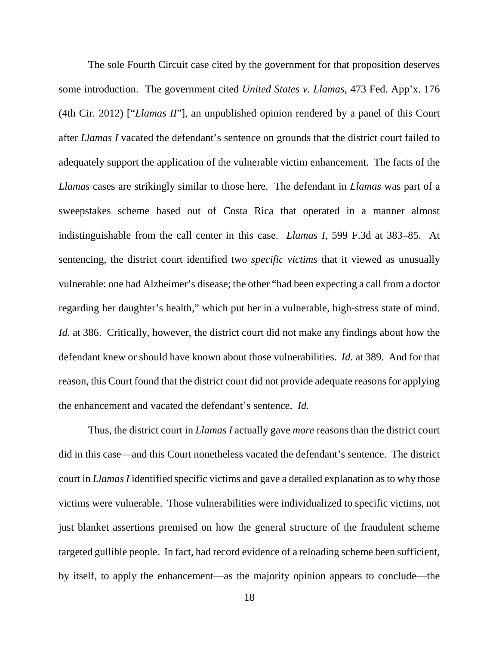The sole Fourth Circuit case cited by the government for that proposition deserves some introduction. The government cited *United States v. Llamas*, 473 Fed. App'x. 176 (4th Cir. 2012) ["*Llamas II*"], an unpublished opinion rendered by a panel of this Court after *Llamas I* vacated the defendant's sentence on grounds that the district court failed to adequately support the application of the vulnerable victim enhancement. The facts of the *Llamas* cases are strikingly similar to those here. The defendant in *Llamas* was part of a sweepstakes scheme based out of Costa Rica that operated in a manner almost indistinguishable from the call center in this case. *Llamas I*, 599 F.3d at 383–85. At sentencing, the district court identified two *specific victims* that it viewed as unusually vulnerable: one had Alzheimer's disease; the other "had been expecting a call from a doctor regarding her daughter's health," which put her in a vulnerable, high-stress state of mind. *Id.* at 386. Critically, however, the district court did not make any findings about how the defendant knew or should have known about those vulnerabilities. *Id.* at 389. And for that reason, this Court found that the district court did not provide adequate reasons for applying the enhancement and vacated the defendant's sentence. *Id.*

Thus, the district court in *Llamas I* actually gave *more* reasons than the district court did in this case—and this Court nonetheless vacated the defendant's sentence. The district court in *Llamas I* identified specific victims and gave a detailed explanation as to why those victims were vulnerable. Those vulnerabilities were individualized to specific victims, not just blanket assertions premised on how the general structure of the fraudulent scheme targeted gullible people. In fact, had record evidence of a reloading scheme been sufficient, by itself, to apply the enhancement—as the majority opinion appears to conclude—the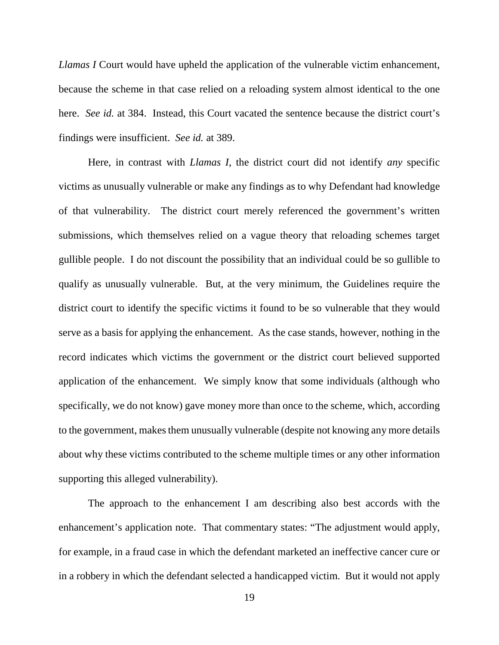*Llamas I* Court would have upheld the application of the vulnerable victim enhancement, because the scheme in that case relied on a reloading system almost identical to the one here. *See id.* at 384. Instead, this Court vacated the sentence because the district court's findings were insufficient. *See id.* at 389.

Here, in contrast with *Llamas I*, the district court did not identify *any* specific victims as unusually vulnerable or make any findings as to why Defendant had knowledge of that vulnerability. The district court merely referenced the government's written submissions, which themselves relied on a vague theory that reloading schemes target gullible people. I do not discount the possibility that an individual could be so gullible to qualify as unusually vulnerable. But, at the very minimum, the Guidelines require the district court to identify the specific victims it found to be so vulnerable that they would serve as a basis for applying the enhancement. As the case stands, however, nothing in the record indicates which victims the government or the district court believed supported application of the enhancement. We simply know that some individuals (although who specifically, we do not know) gave money more than once to the scheme, which, according to the government, makes them unusually vulnerable (despite not knowing any more details about why these victims contributed to the scheme multiple times or any other information supporting this alleged vulnerability).

The approach to the enhancement I am describing also best accords with the enhancement's application note. That commentary states: "The adjustment would apply, for example, in a fraud case in which the defendant marketed an ineffective cancer cure or in a robbery in which the defendant selected a handicapped victim. But it would not apply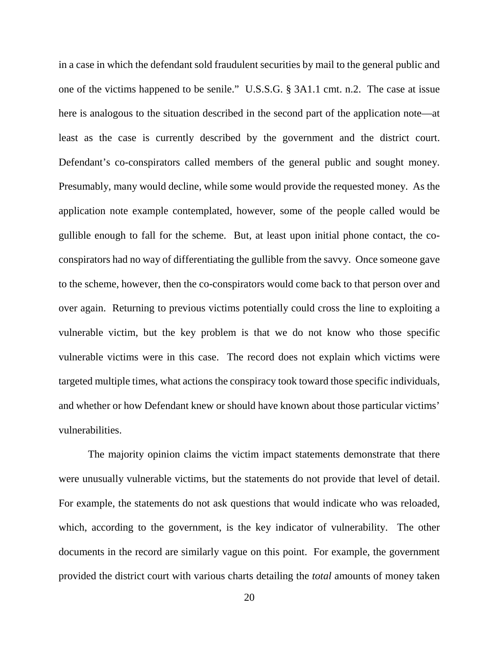in a case in which the defendant sold fraudulent securities by mail to the general public and one of the victims happened to be senile." U.S.S.G. § 3A1.1 cmt. n.2. The case at issue here is analogous to the situation described in the second part of the application note—at least as the case is currently described by the government and the district court. Defendant's co-conspirators called members of the general public and sought money. Presumably, many would decline, while some would provide the requested money. As the application note example contemplated, however, some of the people called would be gullible enough to fall for the scheme. But, at least upon initial phone contact, the coconspirators had no way of differentiating the gullible from the savvy. Once someone gave to the scheme, however, then the co-conspirators would come back to that person over and over again. Returning to previous victims potentially could cross the line to exploiting a vulnerable victim, but the key problem is that we do not know who those specific vulnerable victims were in this case. The record does not explain which victims were targeted multiple times, what actions the conspiracy took toward those specific individuals, and whether or how Defendant knew or should have known about those particular victims' vulnerabilities.

The majority opinion claims the victim impact statements demonstrate that there were unusually vulnerable victims, but the statements do not provide that level of detail. For example, the statements do not ask questions that would indicate who was reloaded, which, according to the government, is the key indicator of vulnerability. The other documents in the record are similarly vague on this point. For example, the government provided the district court with various charts detailing the *total* amounts of money taken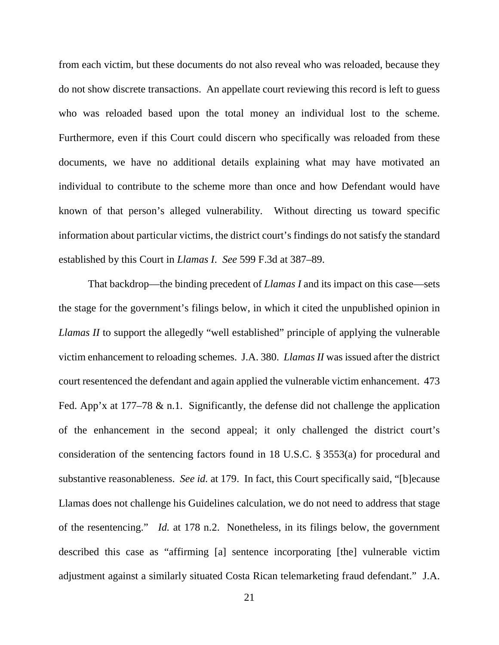from each victim, but these documents do not also reveal who was reloaded, because they do not show discrete transactions. An appellate court reviewing this record is left to guess who was reloaded based upon the total money an individual lost to the scheme. Furthermore, even if this Court could discern who specifically was reloaded from these documents, we have no additional details explaining what may have motivated an individual to contribute to the scheme more than once and how Defendant would have known of that person's alleged vulnerability. Without directing us toward specific information about particular victims, the district court's findings do not satisfy the standard established by this Court in *Llamas I*. *See* 599 F.3d at 387–89.

That backdrop—the binding precedent of *Llamas I* and its impact on this case—sets the stage for the government's filings below, in which it cited the unpublished opinion in *Llamas II* to support the allegedly "well established" principle of applying the vulnerable victim enhancement to reloading schemes. J.A. 380. *Llamas II* was issued after the district court resentenced the defendant and again applied the vulnerable victim enhancement.473 Fed. App'x at  $177-78$  & n.1. Significantly, the defense did not challenge the application of the enhancement in the second appeal; it only challenged the district court's consideration of the sentencing factors found in 18 U.S.C. § 3553(a) for procedural and substantive reasonableness. *See id.* at 179. In fact, this Court specifically said, "[b]ecause Llamas does not challenge his Guidelines calculation, we do not need to address that stage of the resentencing." *Id.* at 178 n.2. Nonetheless, in its filings below, the government described this case as "affirming [a] sentence incorporating [the] vulnerable victim adjustment against a similarly situated Costa Rican telemarketing fraud defendant." J.A.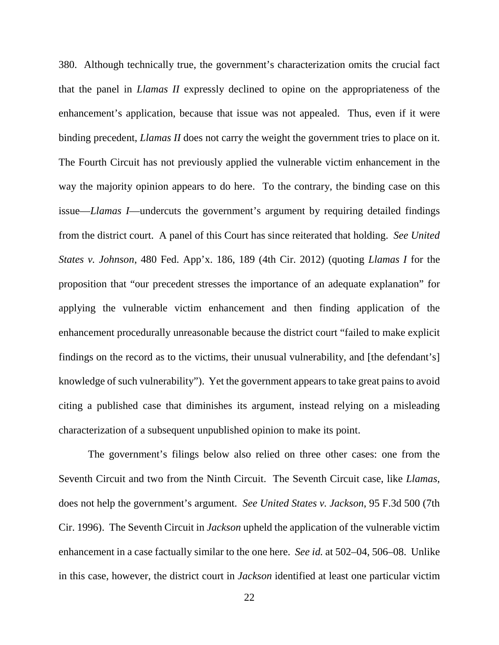380. Although technically true, the government's characterization omits the crucial fact that the panel in *Llamas II* expressly declined to opine on the appropriateness of the enhancement's application, because that issue was not appealed. Thus, even if it were binding precedent, *Llamas II* does not carry the weight the government tries to place on it. The Fourth Circuit has not previously applied the vulnerable victim enhancement in the way the majority opinion appears to do here. To the contrary, the binding case on this issue—*Llamas I*—undercuts the government's argument by requiring detailed findings from the district court. A panel of this Court has since reiterated that holding. *See United States v. Johnson*, 480 Fed. App'x. 186, 189 (4th Cir. 2012) (quoting *Llamas I* for the proposition that "our precedent stresses the importance of an adequate explanation" for applying the vulnerable victim enhancement and then finding application of the enhancement procedurally unreasonable because the district court "failed to make explicit findings on the record as to the victims, their unusual vulnerability, and [the defendant's] knowledge of such vulnerability"). Yet the government appears to take great pains to avoid citing a published case that diminishes its argument, instead relying on a misleading characterization of a subsequent unpublished opinion to make its point.

The government's filings below also relied on three other cases: one from the Seventh Circuit and two from the Ninth Circuit. The Seventh Circuit case, like *Llamas*, does not help the government's argument. *See United States v. Jackson*, 95 F.3d 500 (7th Cir. 1996). The Seventh Circuit in *Jackson* upheld the application of the vulnerable victim enhancement in a case factually similar to the one here. *See id.* at 502–04, 506–08. Unlike in this case, however, the district court in *Jackson* identified at least one particular victim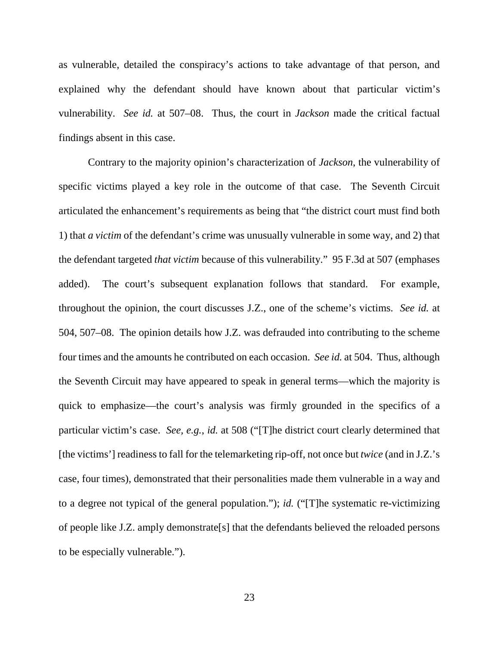as vulnerable, detailed the conspiracy's actions to take advantage of that person, and explained why the defendant should have known about that particular victim's vulnerability. *See id.* at 507–08. Thus, the court in *Jackson* made the critical factual findings absent in this case.

Contrary to the majority opinion's characterization of *Jackson*, the vulnerability of specific victims played a key role in the outcome of that case. The Seventh Circuit articulated the enhancement's requirements as being that "the district court must find both 1) that *a victim* of the defendant's crime was unusually vulnerable in some way, and 2) that the defendant targeted *that victim* because of this vulnerability." 95 F.3d at 507 (emphases added). The court's subsequent explanation follows that standard. For example, throughout the opinion, the court discusses J.Z., one of the scheme's victims. *See id.* at 504, 507–08. The opinion details how J.Z. was defrauded into contributing to the scheme four times and the amounts he contributed on each occasion. *See id.* at 504. Thus, although the Seventh Circuit may have appeared to speak in general terms—which the majority is quick to emphasize—the court's analysis was firmly grounded in the specifics of a particular victim's case. *See, e.g.*, *id.* at 508 ("[T]he district court clearly determined that [the victims'] readiness to fall for the telemarketing rip-off, not once but *twice* (and in J.Z.'s case, four times), demonstrated that their personalities made them vulnerable in a way and to a degree not typical of the general population."); *id.* ("[T]he systematic re-victimizing of people like J.Z. amply demonstrate[s] that the defendants believed the reloaded persons to be especially vulnerable.").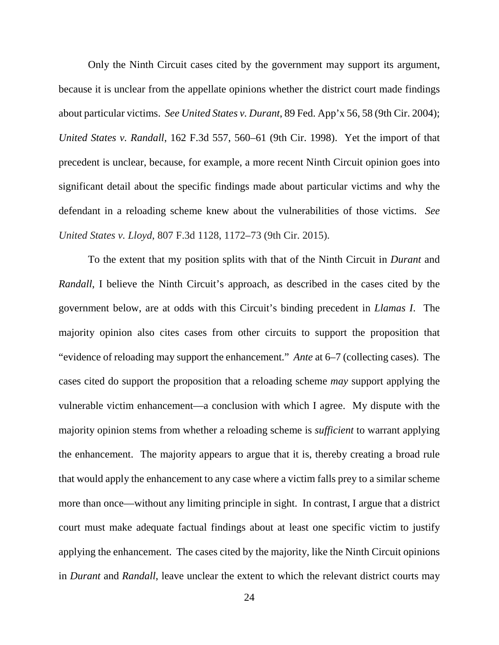Only the Ninth Circuit cases cited by the government may support its argument, because it is unclear from the appellate opinions whether the district court made findings about particular victims. *See United States v. Durant*, 89 Fed. App'x 56, 58 (9th Cir. 2004); *United States v. Randall*, 162 F.3d 557, 560–61 (9th Cir. 1998). Yet the import of that precedent is unclear, because, for example, a more recent Ninth Circuit opinion goes into significant detail about the specific findings made about particular victims and why the defendant in a reloading scheme knew about the vulnerabilities of those victims. *See United States v. Lloyd*, 807 F.3d 1128, 1172–73 (9th Cir. 2015).

To the extent that my position splits with that of the Ninth Circuit in *Durant* and *Randall*, I believe the Ninth Circuit's approach, as described in the cases cited by the government below, are at odds with this Circuit's binding precedent in *Llamas I*. The majority opinion also cites cases from other circuits to support the proposition that "evidence of reloading may support the enhancement." *Ante* at 6–7 (collecting cases). The cases cited do support the proposition that a reloading scheme *may* support applying the vulnerable victim enhancement—a conclusion with which I agree. My dispute with the majority opinion stems from whether a reloading scheme is *sufficient* to warrant applying the enhancement. The majority appears to argue that it is, thereby creating a broad rule that would apply the enhancement to any case where a victim falls prey to a similar scheme more than once—without any limiting principle in sight. In contrast, I argue that a district court must make adequate factual findings about at least one specific victim to justify applying the enhancement. The cases cited by the majority, like the Ninth Circuit opinions in *Durant* and *Randall*, leave unclear the extent to which the relevant district courts may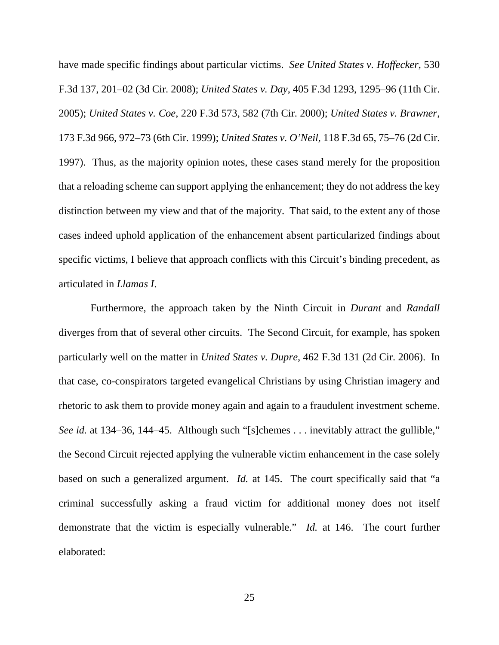have made specific findings about particular victims. *See United States v. Hoffecker*, 530 F.3d 137, 201–02 (3d Cir. 2008); *United States v. Day*, 405 F.3d 1293, 1295–96 (11th Cir. 2005); *United States v. Coe*, 220 F.3d 573, 582 (7th Cir. 2000); *United States v. Brawner*, 173 F.3d 966, 972–73 (6th Cir. 1999); *United States v. O'Neil*, 118 F.3d 65, 75–76 (2d Cir. 1997). Thus, as the majority opinion notes, these cases stand merely for the proposition that a reloading scheme can support applying the enhancement; they do not address the key distinction between my view and that of the majority.That said, to the extent any of those cases indeed uphold application of the enhancement absent particularized findings about specific victims, I believe that approach conflicts with this Circuit's binding precedent, as articulated in *Llamas I*.

Furthermore, the approach taken by the Ninth Circuit in *Durant* and *Randall* diverges from that of several other circuits. The Second Circuit, for example, has spoken particularly well on the matter in *United States v. Dupre*, 462 F.3d 131 (2d Cir. 2006). In that case, co-conspirators targeted evangelical Christians by using Christian imagery and rhetoric to ask them to provide money again and again to a fraudulent investment scheme. *See id.* at 134–36, 144–45. Although such "[s]chemes . . . inevitably attract the gullible," the Second Circuit rejected applying the vulnerable victim enhancement in the case solely based on such a generalized argument. *Id.* at 145. The court specifically said that "a criminal successfully asking a fraud victim for additional money does not itself demonstrate that the victim is especially vulnerable." *Id.* at 146. The court further elaborated: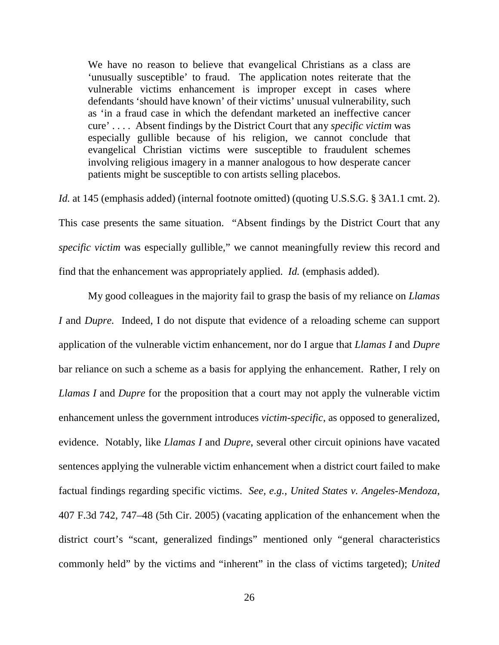We have no reason to believe that evangelical Christians as a class are 'unusually susceptible' to fraud. The application notes reiterate that the vulnerable victims enhancement is improper except in cases where defendants 'should have known' of their victims' unusual vulnerability, such as 'in a fraud case in which the defendant marketed an ineffective cancer cure' . . . . Absent findings by the District Court that any *specific victim* was especially gullible because of his religion, we cannot conclude that evangelical Christian victims were susceptible to fraudulent schemes involving religious imagery in a manner analogous to how desperate cancer patients might be susceptible to con artists selling placebos.

*Id.* at 145 (emphasis added) (internal footnote omitted) (quoting U.S.S.G. § 3A1.1 cmt. 2). This case presents the same situation. "Absent findings by the District Court that any *specific victim* was especially gullible," we cannot meaningfully review this record and find that the enhancement was appropriately applied. *Id.* (emphasis added).

My good colleagues in the majority fail to grasp the basis of my reliance on *Llamas I* and *Dupre.* Indeed, I do not dispute that evidence of a reloading scheme can support application of the vulnerable victim enhancement, nor do I argue that *Llamas I* and *Dupre*  bar reliance on such a scheme as a basis for applying the enhancement. Rather, I rely on *Llamas I* and *Dupre* for the proposition that a court may not apply the vulnerable victim enhancement unless the government introduces *victim-specific*, as opposed to generalized, evidence. Notably, like *Llamas I* and *Dupre*, several other circuit opinions have vacated sentences applying the vulnerable victim enhancement when a district court failed to make factual findings regarding specific victims. *See, e.g.*, *United States v. Angeles-Mendoza*, 407 F.3d 742, 747–48 (5th Cir. 2005) (vacating application of the enhancement when the district court's "scant, generalized findings" mentioned only "general characteristics commonly held" by the victims and "inherent" in the class of victims targeted); *United*